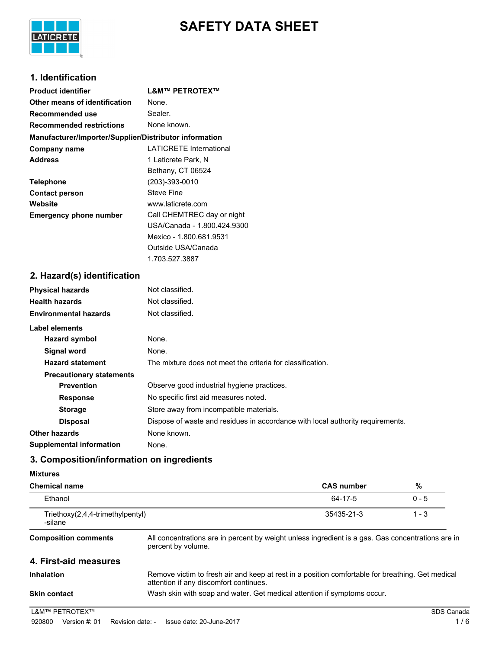



## **1. Identification**

| <b>Product identifier</b>                              | <b>L&amp;M™ PETROTEX™</b>      |
|--------------------------------------------------------|--------------------------------|
| Other means of identification                          | None.                          |
| Recommended use                                        | Sealer.                        |
| <b>Recommended restrictions</b>                        | None known.                    |
| Manufacturer/Importer/Supplier/Distributor information |                                |
| Company name                                           | <b>LATICRETE International</b> |
| <b>Address</b>                                         | 1 Laticrete Park, N            |
|                                                        | Bethany, CT 06524              |
| <b>Telephone</b>                                       | (203)-393-0010                 |
| <b>Contact person</b>                                  | Steve Fine                     |
| Website                                                | www.laticrete.com              |
| <b>Emergency phone number</b>                          | Call CHEMTREC day or night     |
|                                                        | USA/Canada - 1.800.424.9300    |
|                                                        | Mexico - 1.800.681.9531        |
|                                                        | Outside USA/Canada             |

1.703.527.3887

## **2. Hazard(s) identification**

| <b>Physical hazards</b>         | Not classified.                                                                |
|---------------------------------|--------------------------------------------------------------------------------|
| <b>Health hazards</b>           | Not classified.                                                                |
| <b>Environmental hazards</b>    | Not classified.                                                                |
| Label elements                  |                                                                                |
| <b>Hazard symbol</b>            | None.                                                                          |
| <b>Signal word</b>              | None.                                                                          |
| <b>Hazard statement</b>         | The mixture does not meet the criteria for classification.                     |
| <b>Precautionary statements</b> |                                                                                |
| <b>Prevention</b>               | Observe good industrial hygiene practices.                                     |
| <b>Response</b>                 | No specific first aid measures noted.                                          |
| <b>Storage</b>                  | Store away from incompatible materials.                                        |
| <b>Disposal</b>                 | Dispose of waste and residues in accordance with local authority requirements. |
| <b>Other hazards</b>            | None known.                                                                    |
| Supplemental information        | None.                                                                          |

## **3. Composition/information on ingredients**

## **Mixtures**

| <b>Chemical name</b>                        |                                                                                                                         | <b>CAS number</b>                                                                                | %          |
|---------------------------------------------|-------------------------------------------------------------------------------------------------------------------------|--------------------------------------------------------------------------------------------------|------------|
| Ethanol                                     |                                                                                                                         | 64-17-5                                                                                          | $0 - 5$    |
| Triethoxy(2,4,4-trimethylpentyl)<br>-silane |                                                                                                                         | 35435-21-3                                                                                       | $1 - 3$    |
| <b>Composition comments</b>                 | All concentrations are in percent by weight unless ingredient is a gas. Gas concentrations are in<br>percent by volume. |                                                                                                  |            |
| 4. First-aid measures                       |                                                                                                                         |                                                                                                  |            |
| Inhalation                                  | attention if any discomfort continues.                                                                                  | Remove victim to fresh air and keep at rest in a position comfortable for breathing. Get medical |            |
| <b>Skin contact</b>                         | Wash skin with soap and water. Get medical attention if symptoms occur.                                                 |                                                                                                  |            |
| L&M™ PETROTEX™                              |                                                                                                                         |                                                                                                  | SDS Canada |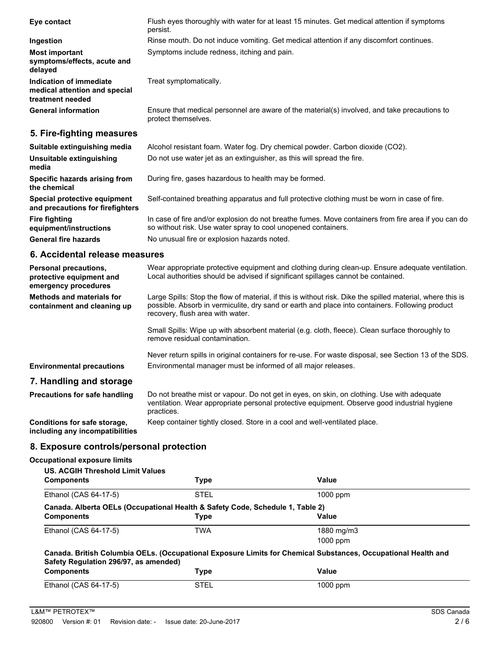| Eye contact                                                                  | Flush eyes thoroughly with water for at least 15 minutes. Get medical attention if symptoms<br>persist.             |
|------------------------------------------------------------------------------|---------------------------------------------------------------------------------------------------------------------|
| Ingestion                                                                    | Rinse mouth. Do not induce vomiting. Get medical attention if any discomfort continues.                             |
| <b>Most important</b><br>symptoms/effects, acute and<br>delayed              | Symptoms include redness, itching and pain.                                                                         |
| Indication of immediate<br>medical attention and special<br>treatment needed | Treat symptomatically.                                                                                              |
| <b>General information</b>                                                   | Ensure that medical personnel are aware of the material(s) involved, and take precautions to<br>protect themselves. |
| 5. Fire-fighting measures                                                    |                                                                                                                     |
| Suitable extinguiching medic                                                 | $\Lambda$ leabel resistant foam $\Lambda$ later foa. Druchemieal pouder, Carbon dievide (CO2)                       |

| Suitable extinguishing media                                     | Alcohol resistant foam. Water fog. Dry chemical powder. Carbon dioxide (CO2).                                                                                        |
|------------------------------------------------------------------|----------------------------------------------------------------------------------------------------------------------------------------------------------------------|
| Unsuitable extinguishing<br>media                                | Do not use water jet as an extinguisher, as this will spread the fire.                                                                                               |
| Specific hazards arising from<br>the chemical                    | During fire, gases hazardous to health may be formed.                                                                                                                |
| Special protective equipment<br>and precautions for firefighters | Self-contained breathing apparatus and full protective clothing must be worn in case of fire.                                                                        |
| <b>Fire fighting</b><br>equipment/instructions                   | In case of fire and/or explosion do not breathe fumes. Move containers from fire area if you can do<br>so without risk. Use water spray to cool unopened containers. |
| <b>General fire hazards</b>                                      | No unusual fire or explosion hazards noted.                                                                                                                          |

## **6. Accidental release measures**

| Personal precautions,<br>protective equipment and<br>emergency procedures | Wear appropriate protective equipment and clothing during clean-up. Ensure adequate ventilation.<br>Local authorities should be advised if significant spillages cannot be contained.                                                             |
|---------------------------------------------------------------------------|---------------------------------------------------------------------------------------------------------------------------------------------------------------------------------------------------------------------------------------------------|
| <b>Methods and materials for</b><br>containment and cleaning up           | Large Spills: Stop the flow of material, if this is without risk. Dike the spilled material, where this is<br>possible. Absorb in vermiculite, dry sand or earth and place into containers. Following product<br>recovery, flush area with water. |
|                                                                           | Small Spills: Wipe up with absorbent material (e.g. cloth, fleece). Clean surface thoroughly to<br>remove residual contamination.                                                                                                                 |
| <b>Environmental precautions</b>                                          | Never return spills in original containers for re-use. For waste disposal, see Section 13 of the SDS.<br>Environmental manager must be informed of all major releases.                                                                            |
| 7. Handling and storage                                                   |                                                                                                                                                                                                                                                   |
| <b>Precautions for safe handling</b>                                      | Do not breathe mist or vapour. Do not get in eyes, on skin, on clothing. Use with adequate<br>ventilation. Wear appropriate personal protective equipment. Observe good industrial hygiene<br>practices.                                          |
| Conditions for safe storage,<br>including any incompatibilities           | Keep container tightly closed. Store in a cool and well-ventilated place.                                                                                                                                                                         |

# **8. Exposure controls/personal protection**

#### **Occupational exposure limits**

| US. ACGIH Threshold Limit Values                                              |             |                                                                                                               |
|-------------------------------------------------------------------------------|-------------|---------------------------------------------------------------------------------------------------------------|
| <b>Components</b>                                                             | <b>Type</b> | Value                                                                                                         |
| Ethanol (CAS 64-17-5)                                                         | <b>STEL</b> | $1000$ ppm                                                                                                    |
| Canada. Alberta OELs (Occupational Health & Safety Code, Schedule 1, Table 2) |             |                                                                                                               |
| <b>Components</b>                                                             | Type        | Value                                                                                                         |
| Ethanol (CAS 64-17-5)                                                         | <b>TWA</b>  | 1880 mg/m3                                                                                                    |
|                                                                               |             | $1000$ ppm                                                                                                    |
| Safety Regulation 296/97, as amended)                                         |             | Canada. British Columbia OELs. (Occupational Exposure Limits for Chemical Substances, Occupational Health and |
| <b>Components</b>                                                             | <b>Type</b> | Value                                                                                                         |
| Ethanol (CAS 64-17-5)                                                         | <b>STEL</b> | 1000 ppm                                                                                                      |
|                                                                               |             |                                                                                                               |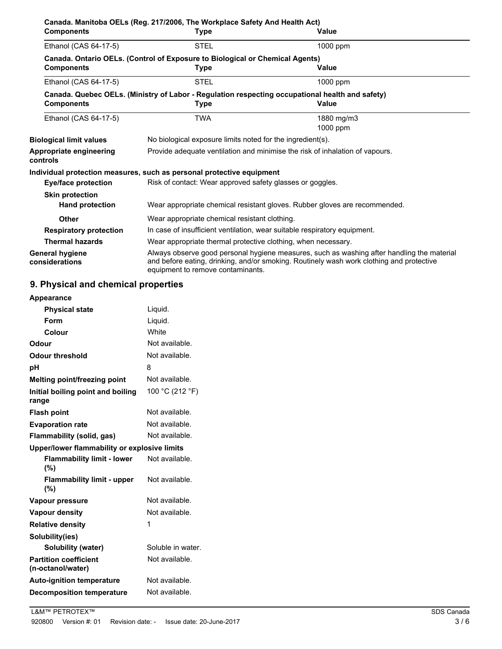| <b>Components</b>                                | Canada. Manitoba OELs (Reg. 217/2006, The Workplace Safety And Health Act)<br>Type                      | Value                                                                                                                                                                                  |
|--------------------------------------------------|---------------------------------------------------------------------------------------------------------|----------------------------------------------------------------------------------------------------------------------------------------------------------------------------------------|
| Ethanol (CAS 64-17-5)                            | <b>STEL</b>                                                                                             | 1000 ppm                                                                                                                                                                               |
| <b>Components</b>                                | Canada. Ontario OELs. (Control of Exposure to Biological or Chemical Agents)<br>Type                    | Value                                                                                                                                                                                  |
| Ethanol (CAS 64-17-5)                            | <b>STEL</b>                                                                                             | 1000 ppm                                                                                                                                                                               |
| <b>Components</b>                                | Canada. Quebec OELs. (Ministry of Labor - Regulation respecting occupational health and safety)<br>Type | <b>Value</b>                                                                                                                                                                           |
| Ethanol (CAS 64-17-5)                            | TWA                                                                                                     | 1880 mg/m3<br>1000 ppm                                                                                                                                                                 |
| <b>Biological limit values</b>                   | No biological exposure limits noted for the ingredient(s).                                              |                                                                                                                                                                                        |
| Appropriate engineering<br>controls              |                                                                                                         | Provide adequate ventilation and minimise the risk of inhalation of vapours.                                                                                                           |
|                                                  | Individual protection measures, such as personal protective equipment                                   |                                                                                                                                                                                        |
| <b>Eye/face protection</b>                       | Risk of contact: Wear approved safety glasses or goggles.                                               |                                                                                                                                                                                        |
| <b>Skin protection</b><br><b>Hand protection</b> |                                                                                                         | Wear appropriate chemical resistant gloves. Rubber gloves are recommended.                                                                                                             |
| Other                                            | Wear appropriate chemical resistant clothing.                                                           |                                                                                                                                                                                        |
| <b>Respiratory protection</b>                    | In case of insufficient ventilation, wear suitable respiratory equipment.                               |                                                                                                                                                                                        |
| <b>Thermal hazards</b>                           | Wear appropriate thermal protective clothing, when necessary.                                           |                                                                                                                                                                                        |
| General hygiene<br>considerations                | equipment to remove contaminants.                                                                       | Always observe good personal hygiene measures, such as washing after handling the material<br>and before eating, drinking, and/or smoking. Routinely wash work clothing and protective |

## **9. Physical and chemical properties**

| Appearance                                        |                   |  |
|---------------------------------------------------|-------------------|--|
| <b>Physical state</b>                             | Liquid.           |  |
| Form                                              | Liguid.           |  |
| Colour                                            | White             |  |
| Odour                                             | Not available.    |  |
| <b>Odour threshold</b>                            | Not available.    |  |
| рH                                                | 8                 |  |
| Melting point/freezing point                      | Not available.    |  |
| Initial boiling point and boiling<br>range        | 100 °C (212 °F)   |  |
| <b>Flash point</b>                                | Not available.    |  |
| <b>Evaporation rate</b>                           | Not available.    |  |
| Flammability (solid, gas)                         | Not available.    |  |
| Upper/lower flammability or explosive limits      |                   |  |
| <b>Flammability limit - lower</b><br>(%)          | Not available.    |  |
| <b>Flammability limit - upper</b><br>(%)          | Not available.    |  |
| Vapour pressure                                   | Not available.    |  |
| <b>Vapour density</b>                             | Not available.    |  |
| <b>Relative density</b>                           | 1                 |  |
| Solubility(ies)                                   |                   |  |
| Solubility (water)                                | Soluble in water. |  |
| <b>Partition coefficient</b><br>(n-octanol/water) | Not available.    |  |
| <b>Auto-ignition temperature</b>                  | Not available.    |  |
| <b>Decomposition temperature</b>                  | Not available.    |  |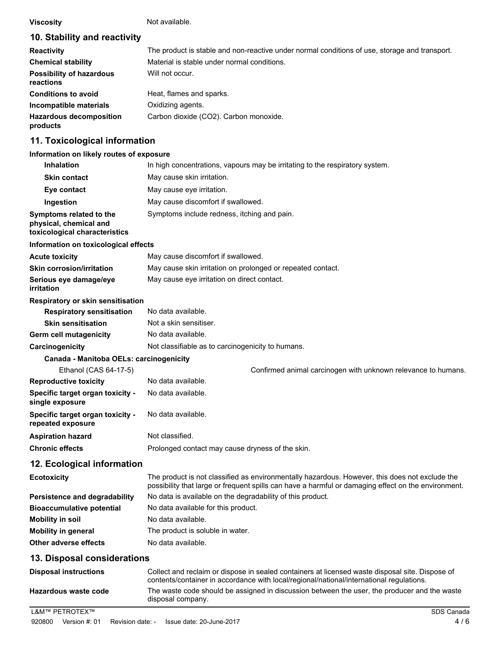**Viscosity** Not available.

## **10. Stability and reactivity**

| <b>Reactivity</b>                            | The product is stable and non-reactive under normal conditions of use, storage and transport. |
|----------------------------------------------|-----------------------------------------------------------------------------------------------|
| <b>Chemical stability</b>                    | Material is stable under normal conditions.                                                   |
| <b>Possibility of hazardous</b><br>reactions | Will not occur.                                                                               |
| <b>Conditions to avoid</b>                   | Heat, flames and sparks.                                                                      |
| Incompatible materials                       | Oxidizing agents.                                                                             |
| <b>Hazardous decomposition</b><br>products   | Carbon dioxide (CO2). Carbon monoxide.                                                        |

## **11. Toxicological information**

#### **Information on likely routes of exposure**

| <b>Inhalation</b>                                                                  | In high concentrations, vapours may be irritating to the respiratory system.                                                                                                                          |
|------------------------------------------------------------------------------------|-------------------------------------------------------------------------------------------------------------------------------------------------------------------------------------------------------|
| <b>Skin contact</b>                                                                | May cause skin irritation.                                                                                                                                                                            |
| Eye contact                                                                        | May cause eye irritation.                                                                                                                                                                             |
| Ingestion                                                                          | May cause discomfort if swallowed.                                                                                                                                                                    |
| Symptoms related to the<br>physical, chemical and<br>toxicological characteristics | Symptoms include redness, itching and pain.                                                                                                                                                           |
| Information on toxicological effects                                               |                                                                                                                                                                                                       |
| <b>Acute toxicity</b>                                                              | May cause discomfort if swallowed.                                                                                                                                                                    |
| <b>Skin corrosion/irritation</b>                                                   | May cause skin irritation on prolonged or repeated contact.                                                                                                                                           |
| Serious eye damage/eye<br>irritation                                               | May cause eye irritation on direct contact.                                                                                                                                                           |
| Respiratory or skin sensitisation                                                  |                                                                                                                                                                                                       |
| <b>Respiratory sensitisation</b>                                                   | No data available.                                                                                                                                                                                    |
| <b>Skin sensitisation</b>                                                          | Not a skin sensitiser.                                                                                                                                                                                |
| <b>Germ cell mutagenicity</b>                                                      | No data available.                                                                                                                                                                                    |
| Carcinogenicity                                                                    | Not classifiable as to carcinogenicity to humans.                                                                                                                                                     |
| Canada - Manitoba OELs: carcinogenicity                                            |                                                                                                                                                                                                       |
| Ethanol (CAS 64-17-5)                                                              | Confirmed animal carcinogen with unknown relevance to humans.                                                                                                                                         |
| <b>Reproductive toxicity</b>                                                       | No data available.                                                                                                                                                                                    |
| Specific target organ toxicity -<br>single exposure                                | No data available.                                                                                                                                                                                    |
| Specific target organ toxicity -<br>repeated exposure                              | No data available.                                                                                                                                                                                    |
| <b>Aspiration hazard</b>                                                           | Not classified.                                                                                                                                                                                       |
| <b>Chronic effects</b>                                                             | Prolonged contact may cause dryness of the skin.                                                                                                                                                      |
| 12. Ecological information                                                         |                                                                                                                                                                                                       |
| <b>Ecotoxicity</b>                                                                 | The product is not classified as environmentally hazardous. However, this does not exclude the<br>possibility that large or frequent spills can have a harmful or damaging effect on the environment. |
| <b>Persistence and degradability</b>                                               | No data is available on the degradability of this product.                                                                                                                                            |
| <b>Bioaccumulative potential</b>                                                   | No data available for this product.                                                                                                                                                                   |
| <b>Mobility in soil</b>                                                            | No data available.                                                                                                                                                                                    |
| <b>Mobility in general</b>                                                         | The product is soluble in water.                                                                                                                                                                      |

**Other adverse effects** No data available.

#### **13. Disposal considerations**

| <b>Disposal instructions</b> | Collect and reclaim or dispose in sealed containers at licensed waste disposal site. Dispose of<br>contents/container in accordance with local/regional/national/international regulations. |
|------------------------------|---------------------------------------------------------------------------------------------------------------------------------------------------------------------------------------------|
| Hazardous waste code         | The waste code should be assigned in discussion between the user, the producer and the waste<br>disposal company.                                                                           |
| L&M™ PETROTEX™               | SDS Canada                                                                                                                                                                                  |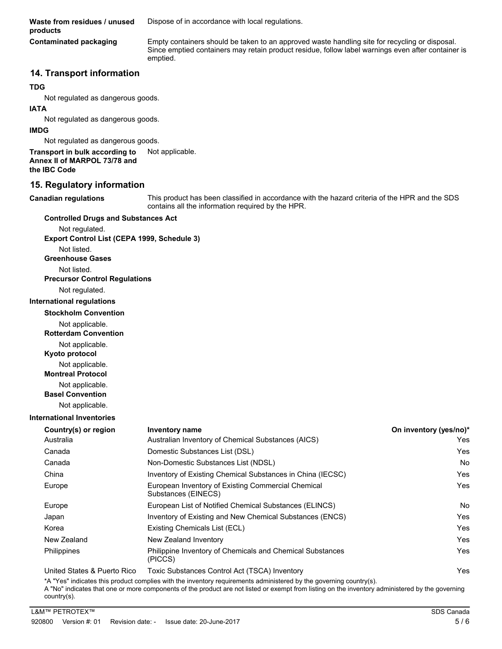**Waste from residues / unused** Dispose of in accordance with local regulations. **products**

**Contaminated packaging**

Empty containers should be taken to an approved waste handling site for recycling or disposal. Since emptied containers may retain product residue, follow label warnings even after container is emptied.

#### **14. Transport information**

#### **TDG**

Not regulated as dangerous goods.

#### **IATA**

Not regulated as dangerous goods.

#### **IMDG**

Not regulated as dangerous goods.

**Transport in bulk according to** Not applicable. **Annex II of MARPOL 73/78 and the IBC Code**

#### **15. Regulatory information**

**Canadian regulations**

This product has been classified in accordance with the hazard criteria of the HPR and the SDS contains all the information required by the HPR.

**Countries and Countries of the Countries of the Countries of the Countries of the Countries of the Countries of the Countries of the Countries of the Countries of the Countries of the Countries of the Countries of the Cou** 

| <b>Controlled Drugs and Substances Act</b>  |                                    |
|---------------------------------------------|------------------------------------|
| Not regulated.                              |                                    |
| Export Control List (CEPA 1999, Schedule 3) |                                    |
| Not listed.                                 |                                    |
| <b>Greenhouse Gases</b>                     |                                    |
| Not listed.                                 |                                    |
| <b>Precursor Control Regulations</b>        |                                    |
| Not regulated.                              |                                    |
| <b>International regulations</b>            |                                    |
| <b>Stockholm Convention</b>                 |                                    |
| Not applicable.                             |                                    |
| <b>Rotterdam Convention</b>                 |                                    |
| Not applicable.                             |                                    |
| Kyoto protocol                              |                                    |
| Not applicable.                             |                                    |
| <b>Montreal Protocol</b>                    |                                    |
| Not applicable.                             |                                    |
| <b>Basel Convention</b>                     |                                    |
| Not applicable.                             |                                    |
| <b>International Inventories</b>            |                                    |
| Country(s) or region                        | <b>Inventory name</b>              |
| Australia                                   | Australian Inven                   |
| Canada                                      | Domestic Substa                    |
| Canada                                      | Non-Domestic S                     |
| China                                       | Inventory of Exis                  |
| Europe                                      | European Invent<br>Substances (EIN |

| Australia                   | Australian Inventory of Chemical Substances (AICS)                        | Yes |
|-----------------------------|---------------------------------------------------------------------------|-----|
| Canada                      | Domestic Substances List (DSL)                                            | Yes |
| Canada                      | Non-Domestic Substances List (NDSL)                                       | No  |
| China                       | Inventory of Existing Chemical Substances in China (IECSC)                | Yes |
| Europe                      | European Inventory of Existing Commercial Chemical<br>Substances (EINECS) | Yes |
| Europe                      | European List of Notified Chemical Substances (ELINCS)                    | No  |
| Japan                       | Inventory of Existing and New Chemical Substances (ENCS)                  | Yes |
| Korea                       | Existing Chemicals List (ECL)                                             | Yes |
| New Zealand                 | New Zealand Inventory                                                     | Yes |
| Philippines                 | Philippine Inventory of Chemicals and Chemical Substances<br>(PICCS)      | Yes |
| United States & Puerto Rico | Toxic Substances Control Act (TSCA) Inventory                             | Yes |

\*A "Yes" indicates this product complies with the inventory requirements administered by the governing country(s).

A "No" indicates that one or more components of the product are not listed or exempt from listing on the inventory administered by the governing country(s).